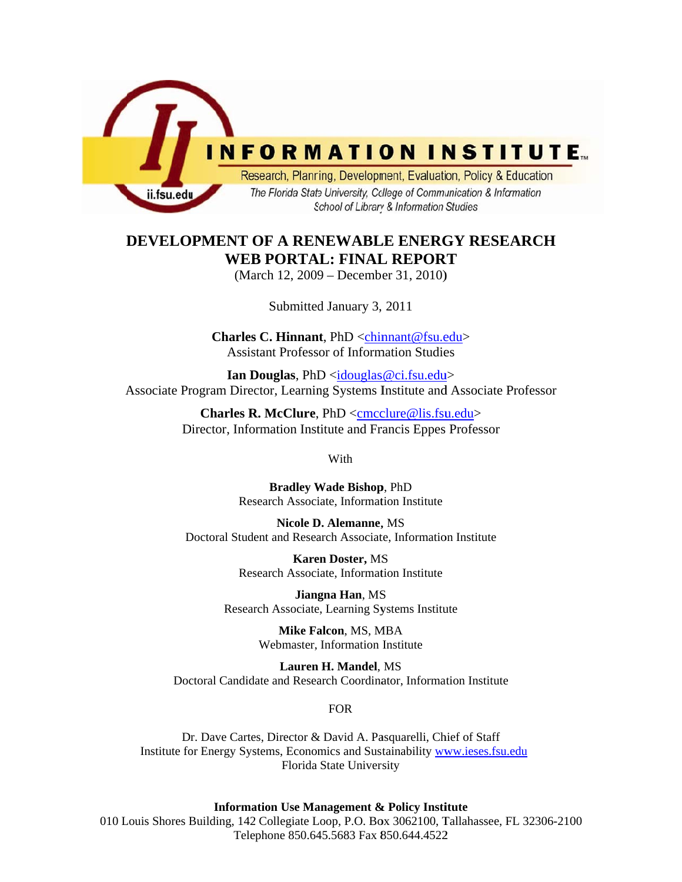

# **DEVELOPMENT OF A RENEWABLE ENERGY RESEARCH WEB PORTAL: FINAL REPORT**

(March 12, 2009 – December 31, 2010)

Submitted January 3, 2011

**Charles C. Hinnant**, PhD <chinnant@fsu.edu> **Assistant Professor of Information Studies** 

**Ian Douglas**, PhD <idouglas@ci.fsu.edu> Associate Program Director, Learning Systems Institute and Associate Professor

> **Charles R. McClure**, PhD <cmcclure@lis.fsu.edu> Director, Information Institute and Francis Eppes Professor

> > With

**Bradley Wade Bishop**, PhD Research Associate, Information Institute

**Nicole D. Alemanne**, MS Doctoral Student and Research Associate, Information Institute

> **Karen Doster,** MS Research Associate, Information Institute

**Jiangna Han**, MS Research Associate, Learning Systems Institute

> **Mike Falcon**, MS, MBA Webmaster, Information Institute

Doctoral Candidate and Research Coordinator, Information Institute Lauren H. Mandel, MS

#### FOR

Florida State University Institute for Energy Systems, Economics and Sustainability www.ieses.fsu.edu<br>Florida State University Dr. Dave Cartes, Director & David A. Pasquarelli, Chief of Staff

#### **Information Use Management & Policy Institute**

010 Louis Shores Building, 142 Collegiate Loop, P.O. Box 3062100, Tallahassee, FL 32306-2100 Telephone 850.645.5683 Fax 850.644.4522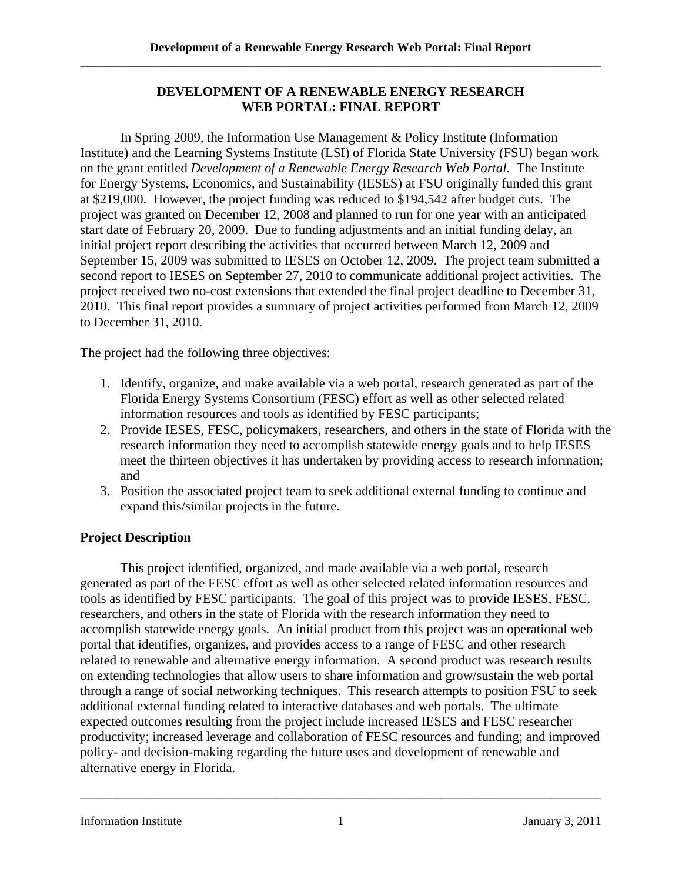### **DEVELOPMENT OF A RENEWABLE ENERGY RESEARCH WEB PORTAL: FINAL REPORT**

In Spring 2009, the Information Use Management & Policy Institute (Information Institute) and the Learning Systems Institute (LSI) of Florida State University (FSU) began work on the grant entitled *Development of a Renewable Energy Research Web Portal*. The Institute for Energy Systems, Economics, and Sustainability (IESES) at FSU originally funded this grant at \$219,000. However, the project funding was reduced to \$194,542 after budget cuts. The project was granted on December 12, 2008 and planned to run for one year with an anticipated start date of February 20, 2009. Due to funding adjustments and an initial funding delay, an initial project report describing the activities that occurred between March 12, 2009 and September 15, 2009 was submitted to IESES on October 12, 2009. The project team submitted a second report to IESES on September 27, 2010 to communicate additional project activities. The project received two no-cost extensions that extended the final project deadline to December 31, 2010. This final report provides a summary of project activities performed from March 12, 2009 to December 31, 2010.

The project had the following three objectives:

- 1. Identify, organize, and make available via a web portal, research generated as part of the Florida Energy Systems Consortium (FESC) effort as well as other selected related information resources and tools as identified by FESC participants;
- 2. Provide IESES, FESC, policymakers, researchers, and others in the state of Florida with the research information they need to accomplish statewide energy goals and to help IESES meet the thirteen objectives it has undertaken by providing access to research information; and
- 3. Position the associated project team to seek additional external funding to continue and expand this/similar projects in the future.

# **Project Description**

This project identified, organized, and made available via a web portal, research generated as part of the FESC effort as well as other selected related information resources and tools as identified by FESC participants. The goal of this project was to provide IESES, FESC, researchers, and others in the state of Florida with the research information they need to accomplish statewide energy goals. An initial product from this project was an operational web portal that identifies, organizes, and provides access to a range of FESC and other research related to renewable and alternative energy information. A second product was research results on extending technologies that allow users to share information and grow/sustain the web portal through a range of social networking techniques. This research attempts to position FSU to seek additional external funding related to interactive databases and web portals. The ultimate expected outcomes resulting from the project include increased IESES and FESC researcher productivity; increased leverage and collaboration of FESC resources and funding; and improved policy- and decision-making regarding the future uses and development of renewable and alternative energy in Florida.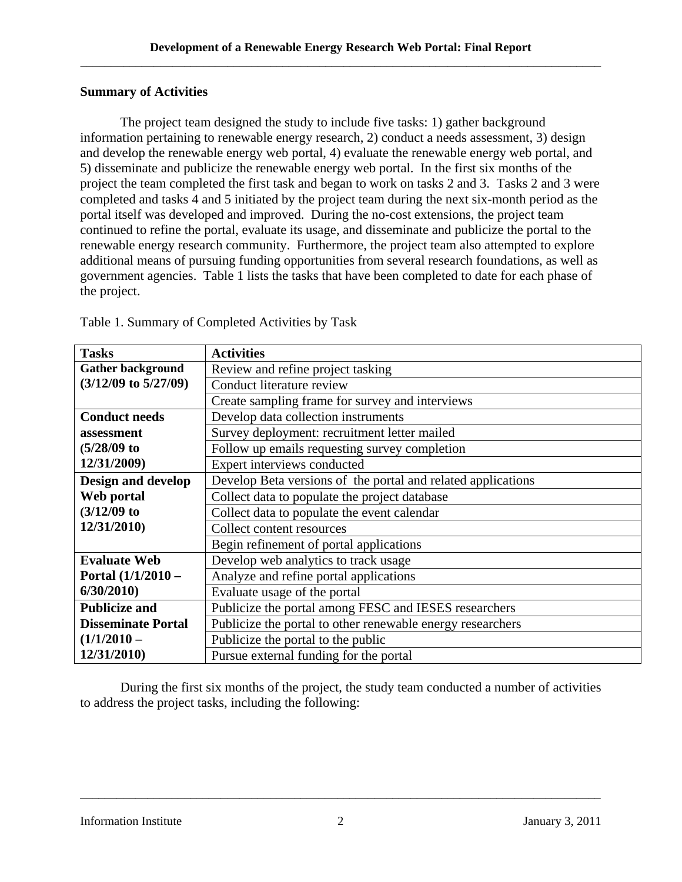#### **Summary of Activities**

The project team designed the study to include five tasks: 1) gather background information pertaining to renewable energy research, 2) conduct a needs assessment, 3) design and develop the renewable energy web portal, 4) evaluate the renewable energy web portal, and 5) disseminate and publicize the renewable energy web portal. In the first six months of the project the team completed the first task and began to work on tasks 2 and 3. Tasks 2 and 3 were completed and tasks 4 and 5 initiated by the project team during the next six-month period as the portal itself was developed and improved. During the no-cost extensions, the project team continued to refine the portal, evaluate its usage, and disseminate and publicize the portal to the renewable energy research community. Furthermore, the project team also attempted to explore additional means of pursuing funding opportunities from several research foundations, as well as government agencies. Table 1 lists the tasks that have been completed to date for each phase of the project.

| <b>Tasks</b>              | <b>Activities</b>                                            |  |  |
|---------------------------|--------------------------------------------------------------|--|--|
| <b>Gather background</b>  | Review and refine project tasking                            |  |  |
| $(3/12/09$ to $5/27/09)$  | Conduct literature review                                    |  |  |
|                           | Create sampling frame for survey and interviews              |  |  |
| <b>Conduct needs</b>      | Develop data collection instruments                          |  |  |
| assessment                | Survey deployment: recruitment letter mailed                 |  |  |
| $(5/28/09)$ to            | Follow up emails requesting survey completion                |  |  |
| 12/31/2009)               | Expert interviews conducted                                  |  |  |
| <b>Design and develop</b> | Develop Beta versions of the portal and related applications |  |  |
| Web portal                | Collect data to populate the project database                |  |  |
| $(3/12/09)$ to            | Collect data to populate the event calendar                  |  |  |
| 12/31/2010)               | Collect content resources                                    |  |  |
|                           | Begin refinement of portal applications                      |  |  |
| <b>Evaluate Web</b>       | Develop web analytics to track usage                         |  |  |
| Portal $(1/1/2010 -$      | Analyze and refine portal applications                       |  |  |
| 6/30/2010                 | Evaluate usage of the portal                                 |  |  |
| <b>Publicize and</b>      | Publicize the portal among FESC and IESES researchers        |  |  |
| <b>Disseminate Portal</b> | Publicize the portal to other renewable energy researchers   |  |  |
| $(1/1/2010 -$             | Publicize the portal to the public                           |  |  |
| 12/31/2010)               | Pursue external funding for the portal                       |  |  |

Table 1. Summary of Completed Activities by Task

During the first six months of the project, the study team conducted a number of activities to address the project tasks, including the following: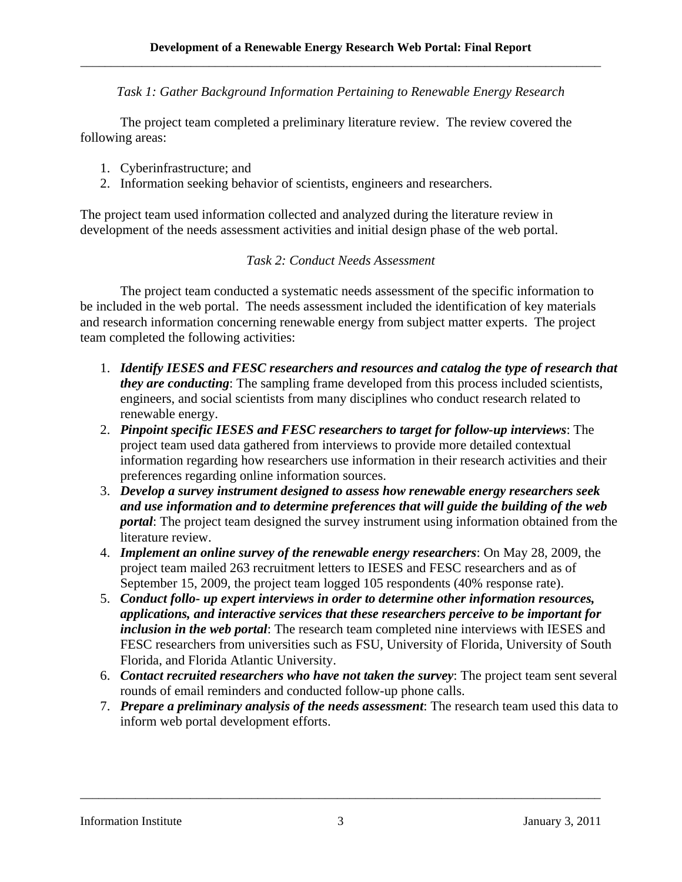*Task 1: Gather Background Information Pertaining to Renewable Energy Research* 

The project team completed a preliminary literature review. The review covered the following areas:

- 1. Cyberinfrastructure; and
- 2. Information seeking behavior of scientists, engineers and researchers.

The project team used information collected and analyzed during the literature review in development of the needs assessment activities and initial design phase of the web portal.

#### *Task 2: Conduct Needs Assessment*

team completed the following activities: The project team conducted a systematic needs assessment of the specific information to be included in the web portal. The needs assessment included the identification of key materials and research information concerning renewable energy from subject matter experts. The project

- 1. Identify IESES and FESC researchers and resources and catalog the type of research that *they are conducting*: The sampling frame developed from this process included scientists, engineers, and social scientists from many disciplines who conduct research related to renewable energy.
- 2. *Pinpoint specific IESES and FESC researchers to target for follow-up interviews:* The project team used data gathered from interviews to provide more detailed contextual information regarding how researchers use information in their research activities and their preferences regarding online information sources.
- 3. *Develop a survey instrument designed to assess how renewable energy researchers seek and use information and to determine preferences that will guide the building of the web portal*: The project team designed the survey instrument using information obtained from the literature review.
- 4. *Implement an online survey of the renewable energy researchers*: On May 28, 2009, the project team mailed 263 recruitment letters to IESES and FESC researchers and as of September 15, 2009, the project team logged 105 respondents (40% response rate).
- 5. *Conduct follo- up expert interviews in order to determine other information resources, applications, and interactive services that these researchers perceive to be important for inclusion in the web portal*: The research team completed nine interviews with IESES and FESC researchers from universities such as FSU, University of Florida, University of South Florida, and Florida Atlantic University.
- 6. *Contact recruited researchers who have not taken the survey*: The project team sent several rounds of email reminders and conducted follow-up phone calls.
- 7. *Prepare a preliminary analysis of the needs assessment*: The research team used this data to inform web portal development efforts.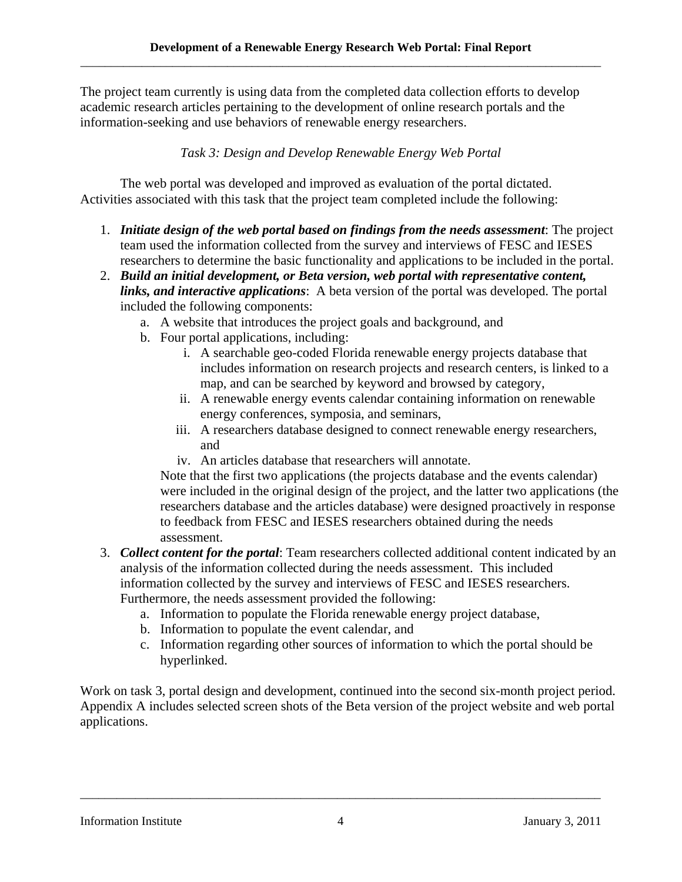The project team currently is using data from the completed data collection efforts to develop academic research articles pertaining to the development of online research portals and the information-seeking and use behaviors of renewable energy researchers.

# *Task 3: Design and Develop Renewable Energy Web Portal*

The web portal was developed and improved as evaluation of the portal dictated. Activities associated with this task that the project team completed include the following:

- 1. *Initiate design of the web portal based on findings from the needs assessment*: The project team used the information collected from the survey and interviews of FESC and IESES researchers to determine the basic functionality and applications to be included in the portal.
- 2. *Build an initial development, or Beta version, web portal with representative content, links, and interactive applications*: A beta version of the portal was developed. The portal included the following components:
	- a. A website that introduces the project goals and background, and
	- b. Four portal applications, including:
		- i. A searchable geo-coded Florida renewable energy projects database that includes information on research projects and research centers, is linked to a map, and can be searched by keyword and browsed by category,
		- ii. A renewable energy events calendar containing information on renewable energy conferences, symposia, and seminars,
		- iii. A researchers database designed to connect renewable energy researchers, and
		- iv. An articles database that researchers will annotate.

Note that the first two applications (the projects database and the events calendar) were included in the original design of the project, and the latter two applications (the researchers database and the articles database) were designed proactively in response to feedback from FESC and IESES researchers obtained during the needs assessment.

- 3. *Collect content for the portal*: Team researchers collected additional content indicated by an analysis of the information collected during the needs assessment. This included information collected by the survey and interviews of FESC and IESES researchers. Furthermore, the needs assessment provided the following:
	- a. Information to populate the Florida renewable energy project database,
	- b. Information to populate the event calendar, and
	- c. Information regarding other sources of information to which the portal should be hyperlinked.

Work on task 3, portal design and development, continued into the second six-month project period. Appendix A includes selected screen shots of the Beta version of the project website and web portal applications.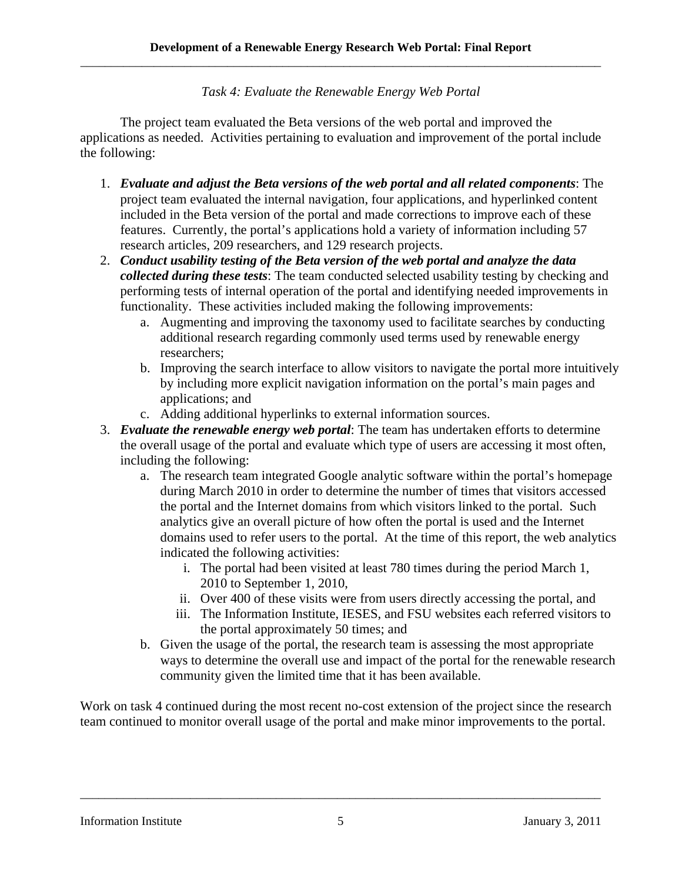### *Task 4: Evaluate the Renewable Energy Web Portal*

The project team evaluated the Beta versions of the web portal and improved the applications as needed. Activities pertaining to evaluation and improvement of the portal include the following:

- 1. *Evaluate and adjust the Beta versions of the web portal and all related components*: The project team evaluated the internal navigation, four applications, and hyperlinked content included in the Beta version of the portal and made corrections to improve each of these features. Currently, the portal's applications hold a variety of information including 57 research articles, 209 researchers, and 129 research projects.
- 2. *Conduct usability testing of the Beta version of the web portal and analyze the data collected during these tests*: The team conducted selected usability testing by checking and performing tests of internal operation of the portal and identifying needed improvements in functionality. These activities included making the following improvements:
	- a. Augmenting and improving the taxonomy used to facilitate searches by conducting additional research regarding commonly used terms used by renewable energy researchers;
	- b. Improving the search interface to allow visitors to navigate the portal more intuitively by including more explicit navigation information on the portal's main pages and applications; and
	- c. Adding additional hyperlinks to external information sources.
- 3. *Evaluate the renewable energy web portal*: The team has undertaken efforts to determine the overall usage of the portal and evaluate which type of users are accessing it most often, including the following:
	- a. The research team integrated Google analytic software within the portal's homepage during March 2010 in order to determine the number of times that visitors accessed the portal and the Internet domains from which visitors linked to the portal. Such analytics give an overall picture of how often the portal is used and the Internet domains used to refer users to the portal. At the time of this report, the web analytics indicated the following activities:
		- i. The portal had been visited at least 780 times during the period March 1, 2010 to September 1, 2010,
		- ii. Over 400 of these visits were from users directly accessing the portal, and
		- iii. The Information Institute, IESES, and FSU websites each referred visitors to the portal approximately 50 times; and
	- b. Given the usage of the portal, the research team is assessing the most appropriate ways to determine the overall use and impact of the portal for the renewable research community given the limited time that it has been available.

Work on task 4 continued during the most recent no-cost extension of the project since the research team continued to monitor overall usage of the portal and make minor improvements to the portal.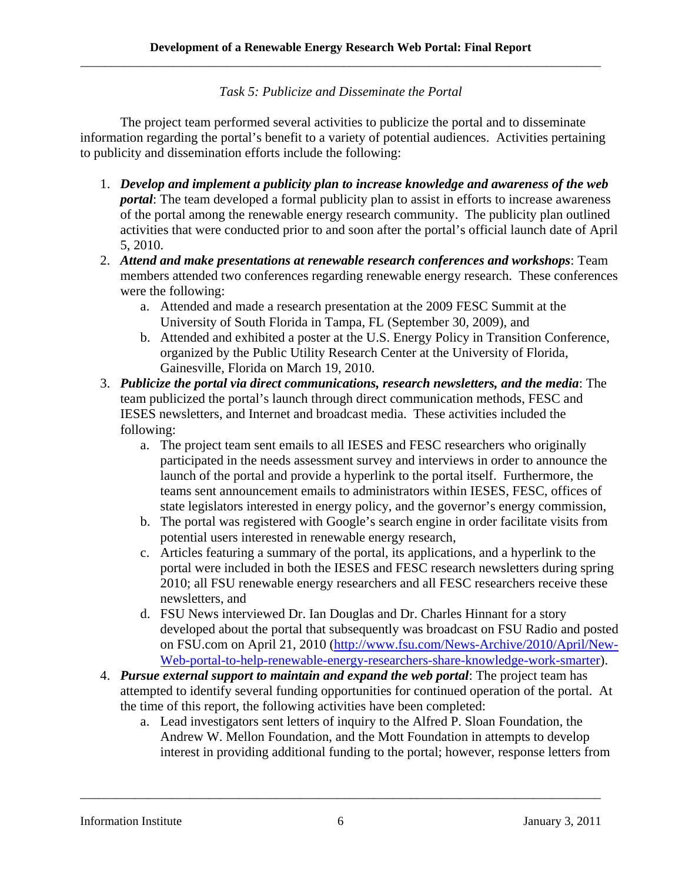*Task 5: Publicize and Disseminate the Portal* 

The project team performed several activities to publicize the portal and to disseminate information regarding the portal's benefit to a variety of potential audiences. Activities pertaining to publicity and dissemination efforts include the following:

- 1. Develop and implement a publicity plan to increase knowledge and awareness of the web *portal*: The team developed a formal publicity plan to assist in efforts to increase awareness of the portal among the renewable energy research community. The publicity plan outlined activities that were conducted prior to and soon after the portal's official launch date of April 5, 2010.
- 2. *Attend and make presentations at renewable research conferences and workshops*: Team members attended two conferences regarding renewable energy research. These conferences were the following:
	- a. Attended and made a research presentation at the 2009 FESC Summit at the University of South Florida in Tampa, FL (September 30, 2009), and
	- b. Attended and exhibited a poster at the U.S. Energy Policy in Transition Conference, organized by the Public Utility Research Center at the University of Florida, Gainesville, Florida on March 19, 2010.
- 3. *Publicize the portal via direct communications, research newsletters, and the media*: The team publicized the portal's launch through direct communication methods, FESC and IESES newsletters, and Internet and broadcast media. These activities included the following:
	- a. The project team sent emails to all IESES and FESC researchers who originally participated in the needs assessment survey and interviews in order to announce the launch of the portal and provide a hyperlink to the portal itself. Furthermore, the teams sent announcement emails to administrators within IESES, FESC, offices of state legislators interested in energy policy, and the governor's energy commission,
	- b. The portal was registered with Google's search engine in order facilitate visits from potential users interested in renewable energy research,
	- c. Articles featuring a summary of the portal, its applications, and a hyperlink to the portal were included in both the IESES and FESC research newsletters during spring 2010; all FSU renewable energy researchers and all FESC researchers receive these newsletters, and
	- d. FSU News interviewed Dr. Ian Douglas and Dr. Charles Hinnant for a story developed about the portal that subsequently was broadcast on FSU Radio and posted on FSU.com on April 21, 2010 (http://www.fsu.com/News-Archive/2010/April/New-Web-portal-to-help-renewable-energy-researchers-share-knowledge-work-smarter).
- the time of this report, the following activities have been completed: 4. *Pursue external support to maintain and expand the web portal:* The project team has attempted to identify several funding opportunities for continued operation of the portal. At
	- a. Lead investigators sent letters of inquiry to the Alfred P. Sloan Foundation, the Andrew W. Mellon Foundation, and the Mott Foundation in attempts to develop interest in providing additional funding to the portal; however, response letters from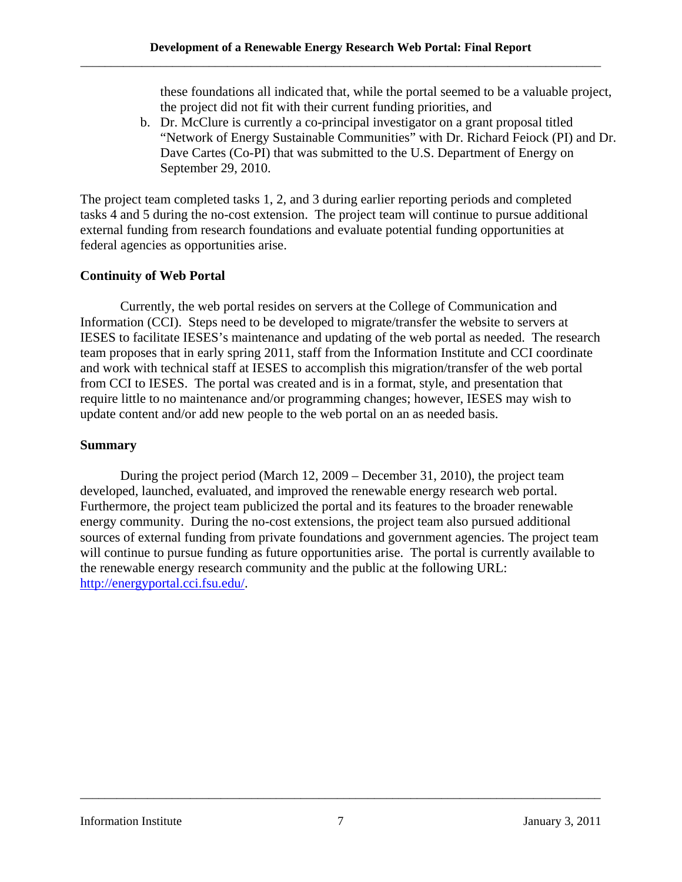these foundations all indicated that, while the portal seemed to be a valuable project, the project did not fit with their current funding priorities, and

b. Dr. McClure is currently a co-principal investigator on a grant proposal titled "Network of Energy Sustainable Communities" with Dr. Richard Feiock (PI) and Dr. Dave Cartes (Co-PI) that was submitted to the U.S. Department of Energy on September 29, 2010.

The project team completed tasks 1, 2, and 3 during earlier reporting periods and completed tasks 4 and 5 during the no-cost extension. The project team will continue to pursue additional external funding from research foundations and evaluate potential funding opportunities at federal agencies as opportunities arise.

#### **Continuity of Web Portal**

Currently, the web portal resides on servers at the College of Communication and Information (CCI). Steps need to be developed to migrate/transfer the website to servers at IESES to facilitate IESES's maintenance and updating of the web portal as needed. The research team proposes that in early spring 2011, staff from the Information Institute and CCI coordinate and work with technical staff at IESES to accomplish this migration/transfer of the web portal from CCI to IESES. The portal was created and is in a format, style, and presentation that require little to no maintenance and/or programming changes; however, IESES may wish to update content and/or add new people to the web portal on an as needed basis.

#### **Summary**

During the project period (March 12, 2009 – December 31, 2010), the project team developed, launched, evaluated, and improved the renewable energy research web portal. Furthermore, the project team publicized the portal and its features to the broader renewable energy community. During the no-cost extensions, the project team also pursued additional sources of external funding from private foundations and government agencies. The project team will continue to pursue funding as future opportunities arise. The portal is currently available to the renewable energy research community and the public at the following URL: http://energyportal.cci.fsu.edu/.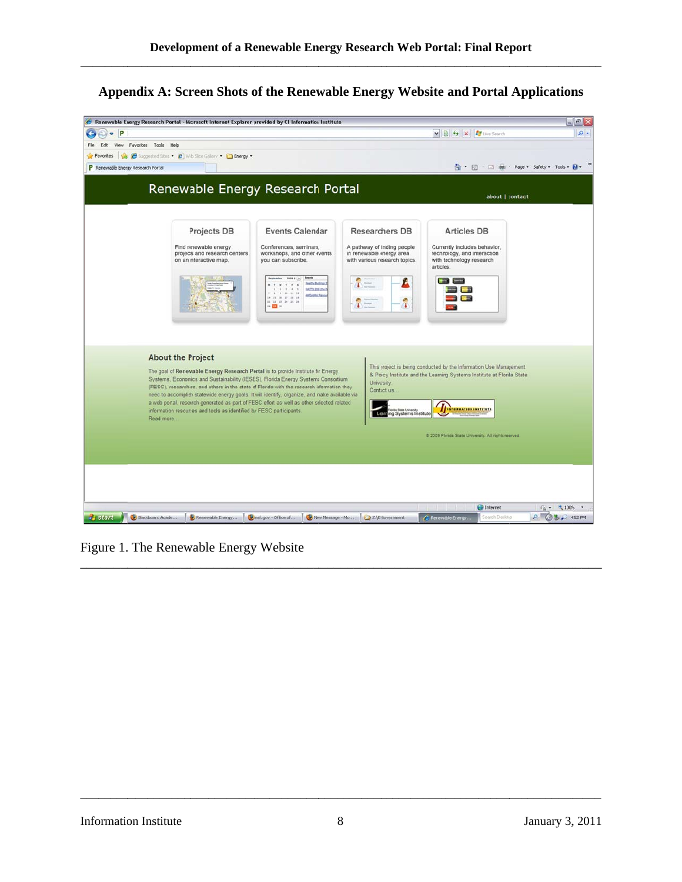\_\_\_\_\_\_\_\_\_\_\_\_

\_\_\_\_\_\_\_\_\_\_\_

\_\_\_\_\_\_\_\_\_\_\_

\_\_\_\_\_\_\_\_\_\_\_\_

 $\overline{\phantom{a}}$ 

\_\_\_\_\_\_\_\_\_\_\_

# **Appendix A: Screen Shots of the Renewable Energy Website and Portal Applications**

| P <br>÷<br>۰<br>Favorites Tools Help<br>File<br>Fdt<br>View<br>Suggested Sites . 2 With Slice Gallery . C Energy .<br>Favorites<br><b>SAB</b><br>P Renewable Energy Research Portal<br>Projects DB<br>Find renewable energy<br>projects and research centers<br>on an interactive map.<br><b>About the Project</b><br>information resources and tools as identified by FESC participants.<br>Read more |                                                                                                                                                                                                                                                                   |                                                                                          | v 8 4 X For the Search                                                                                                                      | $\rho$ .                              |
|--------------------------------------------------------------------------------------------------------------------------------------------------------------------------------------------------------------------------------------------------------------------------------------------------------------------------------------------------------------------------------------------------------|-------------------------------------------------------------------------------------------------------------------------------------------------------------------------------------------------------------------------------------------------------------------|------------------------------------------------------------------------------------------|---------------------------------------------------------------------------------------------------------------------------------------------|---------------------------------------|
|                                                                                                                                                                                                                                                                                                                                                                                                        |                                                                                                                                                                                                                                                                   |                                                                                          |                                                                                                                                             |                                       |
|                                                                                                                                                                                                                                                                                                                                                                                                        |                                                                                                                                                                                                                                                                   |                                                                                          |                                                                                                                                             |                                       |
|                                                                                                                                                                                                                                                                                                                                                                                                        |                                                                                                                                                                                                                                                                   |                                                                                          |                                                                                                                                             | → 同 · 回 曲 · Page · Safety · Tools · 2 |
|                                                                                                                                                                                                                                                                                                                                                                                                        | Renewable Energy Research Portal                                                                                                                                                                                                                                  |                                                                                          | about   contact                                                                                                                             |                                       |
|                                                                                                                                                                                                                                                                                                                                                                                                        | <b>Events Calendar</b>                                                                                                                                                                                                                                            | <b>Researchers DB</b>                                                                    | <b>Articles DB</b>                                                                                                                          |                                       |
|                                                                                                                                                                                                                                                                                                                                                                                                        | Conferences, seminars,<br>workshops, and other events<br>you can subscribe.<br>Events                                                                                                                                                                             | A pathway of finding people<br>in renewable energy area<br>with various research topics. | Currently includes behavior,<br>technology, and interaction<br>with technology research<br>articles.                                        |                                       |
|                                                                                                                                                                                                                                                                                                                                                                                                        | 3009 \$ 3<br>Healthy Buldings<br>WATTS 2006 (Pm V<br>0 18 11 14<br><b>ANEA WIN Reso</b><br>14 15 18 17 18 19<br>11 12 13 34 25 28<br>$\mathbf{H}$ $\mathbf{H}$ $\mathbf{H}$                                                                                       | Ø.<br>T                                                                                  | $-1$                                                                                                                                        |                                       |
|                                                                                                                                                                                                                                                                                                                                                                                                        |                                                                                                                                                                                                                                                                   |                                                                                          |                                                                                                                                             |                                       |
|                                                                                                                                                                                                                                                                                                                                                                                                        | The goal of Renewable Energy Research Pertal is to provide Institute for Energy<br>Systems, Economics and Sustainability (IESES), Florida Energy Systems Consortium<br>(FESC), researchers, and others in the state of Florida with the research information they | University.<br>Contact us.                                                               | This project is being conducted by the Information Use Management<br>& Policy Institute and the Learning Systems Institute at Florida State |                                       |
|                                                                                                                                                                                                                                                                                                                                                                                                        | need to accomplish statewide energy goals. It will identify, organize, and nake available via<br>a web portal, research generated as part of FESC effort as well as other selected related                                                                        | State Liniversity<br>Learning Systems Institute                                          | INFORMATION INSTITUTE.                                                                                                                      |                                       |
|                                                                                                                                                                                                                                                                                                                                                                                                        |                                                                                                                                                                                                                                                                   |                                                                                          | @ 2009 Florida State University. All rights releved.                                                                                        |                                       |
|                                                                                                                                                                                                                                                                                                                                                                                                        |                                                                                                                                                                                                                                                                   |                                                                                          |                                                                                                                                             |                                       |
|                                                                                                                                                                                                                                                                                                                                                                                                        |                                                                                                                                                                                                                                                                   |                                                                                          |                                                                                                                                             |                                       |
|                                                                                                                                                                                                                                                                                                                                                                                                        |                                                                                                                                                                                                                                                                   |                                                                                          |                                                                                                                                             |                                       |
|                                                                                                                                                                                                                                                                                                                                                                                                        |                                                                                                                                                                                                                                                                   |                                                                                          |                                                                                                                                             |                                       |
|                                                                                                                                                                                                                                                                                                                                                                                                        |                                                                                                                                                                                                                                                                   |                                                                                          | <b>D</b> Internet                                                                                                                           | $4a - 4100%$ -                        |

Figure 1. The Renewable Energy Website

\_\_\_\_\_\_\_\_\_\_\_

\_\_\_\_\_\_\_\_\_\_

\_\_\_\_\_\_\_\_\_\_\_\_

\_\_\_\_\_\_\_\_\_\_\_

\_\_\_\_\_\_\_\_

\_\_\_\_\_\_\_\_

\_\_\_\_\_\_\_\_

\_\_\_\_\_\_\_\_\_\_\_\_

\_\_\_\_\_\_\_\_\_\_\_

 $\overline{\phantom{a}}$ 

\_\_\_\_\_\_\_\_\_\_\_

\_\_\_\_\_\_\_\_\_\_

 $\overline{\phantom{a}}$ 

\_\_\_\_\_\_\_\_\_\_\_\_

\_\_\_\_\_\_\_\_\_\_\_

\_\_\_\_\_\_\_\_\_\_\_\_

\_\_\_\_\_\_\_\_\_\_\_

\_\_\_\_\_\_\_\_\_\_

\_\_\_\_\_\_\_\_\_\_\_

\_\_\_\_\_\_\_\_\_\_\_

\_\_\_\_\_\_\_\_\_\_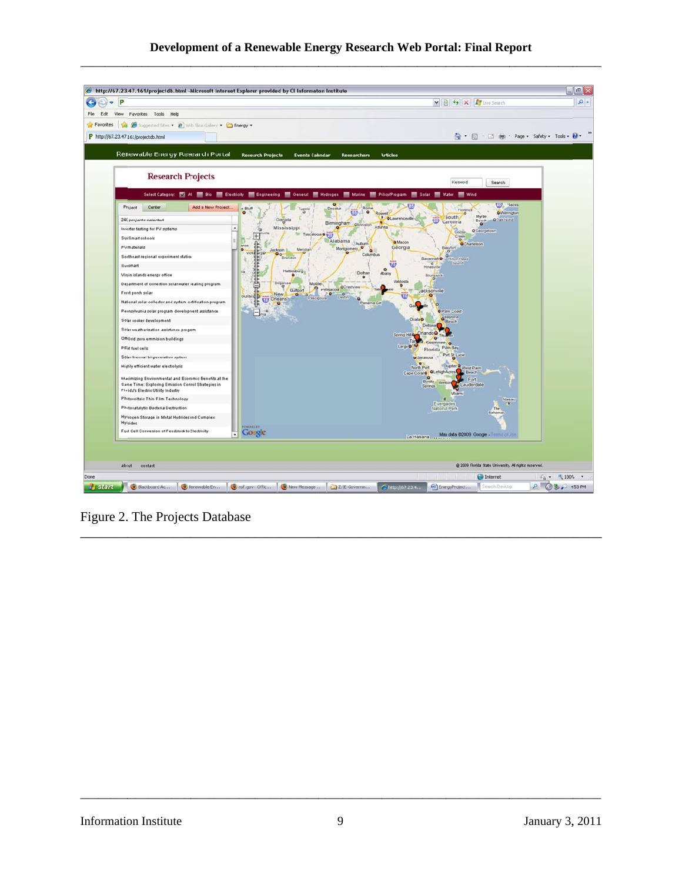#### Development of a Renewable Energy Research Web Portal: Final Report



Figure 2. The Projects Database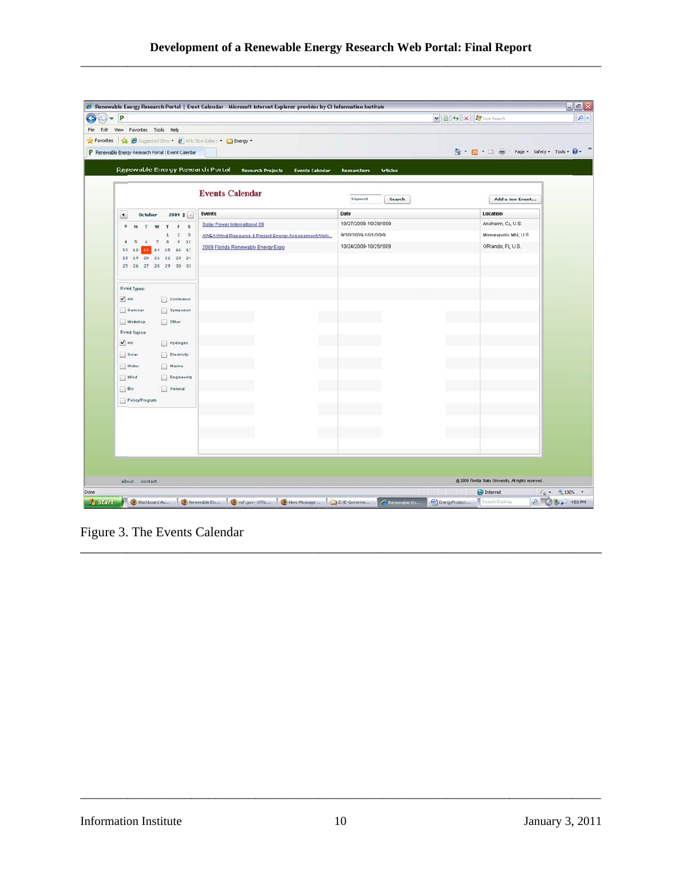| <b>Articles</b><br>Search | 1 5 · □ 曲 · Page · Safety · Tools · 2<br>Add a New Event |
|---------------------------|----------------------------------------------------------|
|                           |                                                          |
|                           |                                                          |
|                           |                                                          |
|                           |                                                          |
|                           |                                                          |
|                           | Location                                                 |
| 10/27/2009-10/29/2009     | Anaheim, CA, U.S.                                        |
| 9/30/2009-10/1/2009       | Minneapolis, MN, U.S.                                    |
| 10/24/2009-10/25/2009     | ORlando, FL, U.S.                                        |
|                           |                                                          |
|                           |                                                          |
|                           |                                                          |
|                           |                                                          |
|                           |                                                          |
|                           |                                                          |
|                           |                                                          |
|                           |                                                          |
|                           |                                                          |
|                           |                                                          |
|                           |                                                          |
|                           |                                                          |
|                           |                                                          |
|                           |                                                          |
|                           |                                                          |
|                           |                                                          |
|                           |                                                          |
|                           |                                                          |
|                           |                                                          |
|                           | @ 2009 Florida State University. All rights reserved.    |
|                           |                                                          |

Figure 3. The Events Calendar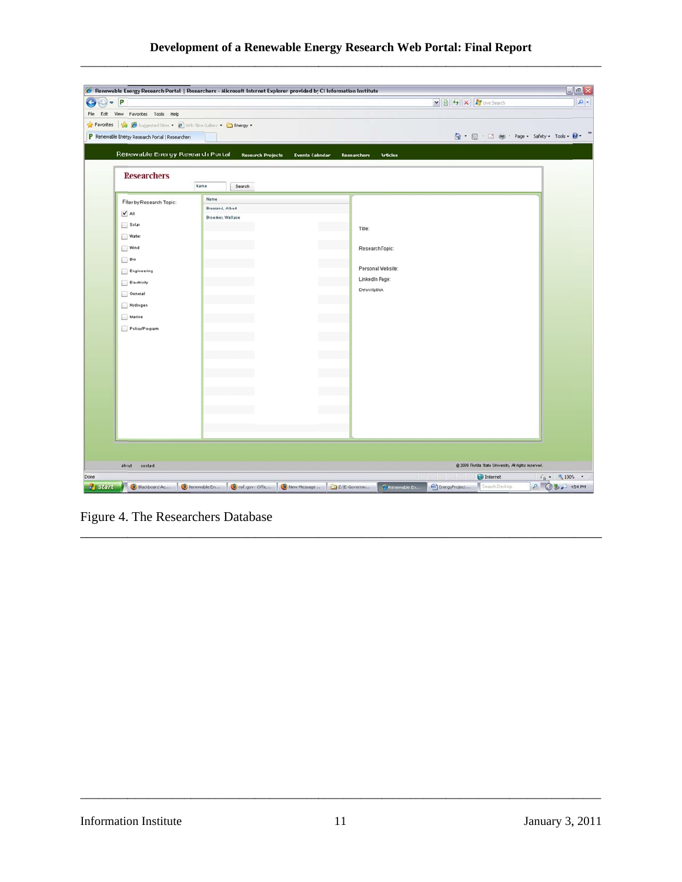# **Development of a Renewable Energy Research Web Portal: Final Report**

\_\_\_\_\_\_\_\_\_\_\_\_

\_\_\_\_\_\_\_\_\_\_\_

\_\_\_\_\_\_\_\_\_\_\_

\_\_\_\_\_\_\_\_\_\_\_\_

 $\overline{\phantom{a}}$ 

\_\_\_\_\_\_\_\_\_\_\_

| P                                                                 | Renewable Energy Research Portal   Researchers - Microsoft Internet Explorer provided by CI Information Institute |                                              | M B + X F Live Search | $  \times$                                            |
|-------------------------------------------------------------------|-------------------------------------------------------------------------------------------------------------------|----------------------------------------------|-----------------------|-------------------------------------------------------|
| Edit View Favorites Tools Help                                    |                                                                                                                   |                                              |                       |                                                       |
| Favorites & C Suggested Sites . 2 With Slice Gallery . C Energy . |                                                                                                                   |                                              |                       |                                                       |
| P Renewable Energy Research Portal   Researchers                  |                                                                                                                   |                                              |                       | G · 同 · 回 曲 · Page · Safety · Tools · 2               |
|                                                                   |                                                                                                                   |                                              |                       |                                                       |
| Renewable Energy Research Portal                                  | <b>Research Projects</b>                                                                                          | <b>Events Calendar</b><br><b>Researchers</b> | <b>Articles</b>       |                                                       |
|                                                                   |                                                                                                                   |                                              |                       |                                                       |
| <b>Researchers</b>                                                |                                                                                                                   |                                              |                       |                                                       |
|                                                                   | Name<br>Search                                                                                                    |                                              |                       |                                                       |
| Filter by Research Topic:                                         | Name                                                                                                              |                                              |                       |                                                       |
| $\sqrt{AB}$                                                       | Bressand, Albert                                                                                                  |                                              |                       |                                                       |
|                                                                   | Broecker, Wallace                                                                                                 |                                              |                       |                                                       |
| Solar                                                             |                                                                                                                   | Title:                                       |                       |                                                       |
| Water                                                             |                                                                                                                   |                                              |                       |                                                       |
| Wind                                                              |                                                                                                                   |                                              | Research Topic:       |                                                       |
| Bio                                                               |                                                                                                                   |                                              |                       |                                                       |
| Engineering                                                       |                                                                                                                   |                                              | Personal Website:     |                                                       |
| Electricity                                                       |                                                                                                                   |                                              | LinkedIn Page:        |                                                       |
| General                                                           |                                                                                                                   |                                              | Description:          |                                                       |
| Hydrogen                                                          |                                                                                                                   |                                              |                       |                                                       |
| Marine                                                            |                                                                                                                   |                                              |                       |                                                       |
| Policy/Program                                                    |                                                                                                                   |                                              |                       |                                                       |
|                                                                   |                                                                                                                   |                                              |                       |                                                       |
|                                                                   |                                                                                                                   |                                              |                       |                                                       |
|                                                                   |                                                                                                                   |                                              |                       |                                                       |
|                                                                   |                                                                                                                   |                                              |                       |                                                       |
|                                                                   |                                                                                                                   |                                              |                       |                                                       |
|                                                                   |                                                                                                                   |                                              |                       |                                                       |
|                                                                   |                                                                                                                   |                                              |                       |                                                       |
|                                                                   |                                                                                                                   |                                              |                       |                                                       |
|                                                                   |                                                                                                                   |                                              |                       |                                                       |
|                                                                   |                                                                                                                   |                                              |                       |                                                       |
|                                                                   |                                                                                                                   |                                              |                       |                                                       |
|                                                                   |                                                                                                                   |                                              |                       |                                                       |
| about<br>contact                                                  |                                                                                                                   |                                              |                       | @ 2009 Florida State University. All rights reserved. |
|                                                                   |                                                                                                                   |                                              |                       | Internet<br>$4\frac{1}{9}$ . $4\frac{100\%}{9}$ .     |

Figure 4. The Researchers Database

\_\_\_\_\_\_\_\_\_\_\_

\_\_\_\_\_\_\_\_\_\_

\_\_\_\_\_\_\_\_

\_\_\_\_\_\_\_\_\_\_\_\_

\_\_\_\_\_\_\_\_\_\_\_

\_\_\_\_\_\_\_\_\_\_\_\_

\_\_\_\_\_\_\_\_\_\_\_

\_\_\_\_\_\_\_\_

\_\_\_\_\_\_\_\_

 $\overline{\phantom{a}}$ 

\_\_\_\_\_\_\_\_\_\_\_

\_\_\_\_\_\_\_\_\_\_

 $\overline{\phantom{a}}$ 

\_\_\_\_\_\_\_\_\_\_\_\_

\_\_\_\_\_\_\_\_\_\_\_

\_\_\_\_\_\_\_\_\_\_\_\_

\_\_\_\_\_\_\_\_\_\_\_

\_\_\_\_\_\_\_\_\_\_

\_\_\_\_\_\_\_\_\_\_\_

\_\_\_\_\_\_\_\_\_\_\_

\_\_\_\_\_\_\_\_\_\_